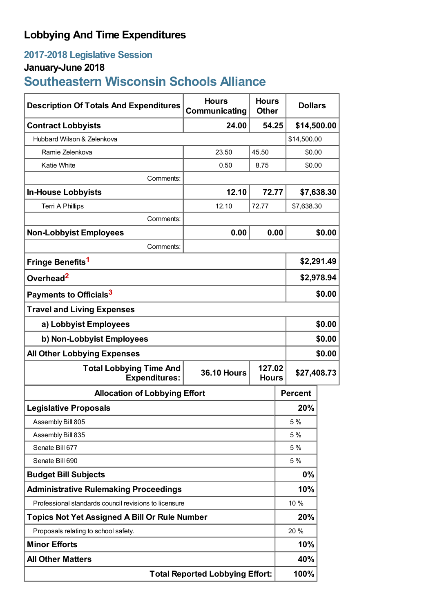## **Lobbying And Time Expenditures**

## **2017-2018 Legislative Session**

## **January-June 2018**

# **Southeastern Wisconsin Schools Alliance**

| <b>Description Of Totals And Expenditures</b>                                                          | <b>Hours</b><br>Communicating | <b>Hours</b><br><b>Other</b> | <b>Dollars</b> |        |
|--------------------------------------------------------------------------------------------------------|-------------------------------|------------------------------|----------------|--------|
| <b>Contract Lobbyists</b>                                                                              | 24.00                         | 54.25                        | \$14,500.00    |        |
| Hubbard Wilson & Zelenkova                                                                             |                               |                              | \$14,500.00    |        |
| Ramie Zelenkova                                                                                        | 23.50                         | 45.50                        | \$0.00         |        |
| <b>Katie White</b>                                                                                     | 0.50                          | 8.75                         | \$0.00         |        |
| Comments:                                                                                              |                               |                              |                |        |
| <b>In-House Lobbyists</b>                                                                              | 12.10                         | 72.77                        | \$7,638.30     |        |
| <b>Terri A Phillips</b>                                                                                | 12.10                         | 72.77                        | \$7,638.30     |        |
| Comments:                                                                                              |                               |                              |                |        |
| <b>Non-Lobbyist Employees</b>                                                                          | 0.00                          | 0.00                         |                | \$0.00 |
| Comments:                                                                                              |                               |                              |                |        |
| Fringe Benefits <sup>1</sup>                                                                           |                               |                              | \$2,291.49     |        |
| Overhead <sup>2</sup>                                                                                  |                               |                              | \$2,978.94     |        |
| Payments to Officials <sup>3</sup>                                                                     |                               |                              |                | \$0.00 |
| <b>Travel and Living Expenses</b>                                                                      |                               |                              |                |        |
| a) Lobbyist Employees                                                                                  |                               |                              |                | \$0.00 |
| b) Non-Lobbyist Employees                                                                              |                               |                              |                | \$0.00 |
| <b>All Other Lobbying Expenses</b>                                                                     |                               |                              |                | \$0.00 |
| 127.02<br><b>Total Lobbying Time And</b><br><b>36.10 Hours</b><br><b>Expenditures:</b><br><b>Hours</b> |                               |                              | \$27,408.73    |        |
| <b>Allocation of Lobbying Effort</b>                                                                   |                               |                              | <b>Percent</b> |        |
| <b>Legislative Proposals</b>                                                                           |                               |                              | 20%            |        |
| Assembly Bill 805                                                                                      |                               |                              | 5 %            |        |
| Assembly Bill 835                                                                                      |                               |                              | 5 %            |        |
| Senate Bill 677                                                                                        |                               |                              | 5 %            |        |
| Senate Bill 690                                                                                        |                               |                              | 5 %            |        |
| <b>Budget Bill Subjects</b>                                                                            |                               |                              | 0%             |        |
| <b>Administrative Rulemaking Proceedings</b>                                                           |                               |                              | 10%            |        |
| Professional standards council revisions to licensure                                                  |                               |                              | 10 %           |        |
| <b>Topics Not Yet Assigned A Bill Or Rule Number</b>                                                   |                               |                              | 20%            |        |
| Proposals relating to school safety.                                                                   |                               |                              | 20%            |        |
| <b>Minor Efforts</b>                                                                                   |                               |                              | 10%            |        |
| <b>All Other Matters</b>                                                                               |                               |                              | 40%            |        |
| <b>Total Reported Lobbying Effort:</b>                                                                 |                               |                              | 100%           |        |